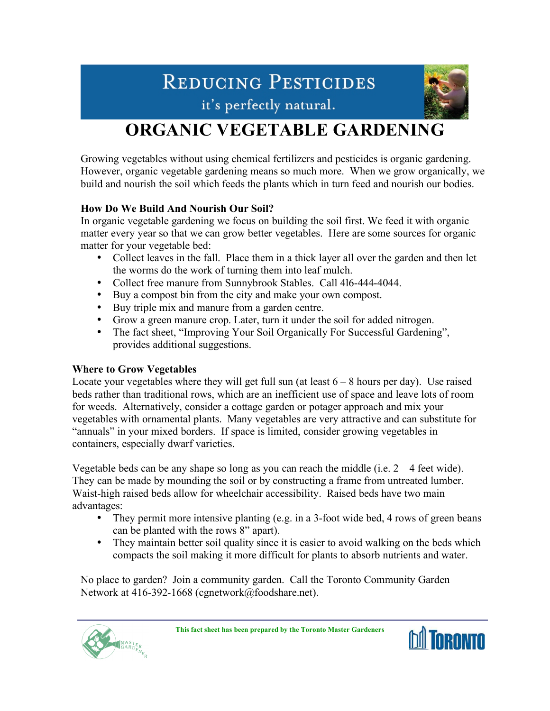# REDUCING PESTICIDES



it's perfectly natural.

## **ORGANIC VEGETABLE GARDENING**

Growing vegetables without using chemical fertilizers and pesticides is organic gardening. However, organic vegetable gardening means so much more. When we grow organically, we build and nourish the soil which feeds the plants which in turn feed and nourish our bodies.

## **How Do We Build And Nourish Our Soil?**

In organic vegetable gardening we focus on building the soil first. We feed it with organic matter every year so that we can grow better vegetables. Here are some sources for organic matter for your vegetable bed:

Collect leaves in the fall. Place them in a thick layer all over the garden and then let the worms do the work of turning them into leaf mulch.

Collect free manure from Sunnybrook Stables. Call 4l6-444-4044.

Buy a compost bin from the city and make your own compost.

Buy triple mix and manure from a garden centre.

Grow a green manure crop. Later, turn it under the soil for added nitrogen.

The fact sheet, "Improving Your Soil Organically For Successful Gardening", provides additional suggestions.

## **Where to Grow Vegetables**

Locate your vegetables where they will get full sun (at least  $6 - 8$  hours per day). Use raised beds rather than traditional rows, which are an inefficient use of space and leave lots of room for weeds. Alternatively, consider a cottage garden or potager approach and mix your vegetables with ornamental plants. Many vegetables are very attractive and can substitute for "annuals" in your mixed borders. If space is limited, consider growing vegetables in containers, especially dwarf varieties.

Vegetable beds can be any shape so long as you can reach the middle (i.e.  $2 - 4$  feet wide). They can be made by mounding the soil or by constructing a frame from untreated lumber. Waist-high raised beds allow for wheelchair accessibility. Raised beds have two main advantages:

They permit more intensive planting (e.g. in a 3-foot wide bed, 4 rows of green beans can be planted with the rows 8" apart).

They maintain better soil quality since it is easier to avoid walking on the beds which compacts the soil making it more difficult for plants to absorb nutrients and water.

No place to garden? Join a community garden. Call the Toronto Community Garden Network at 416-392-1668 (cgnetwork@foodshare.net).